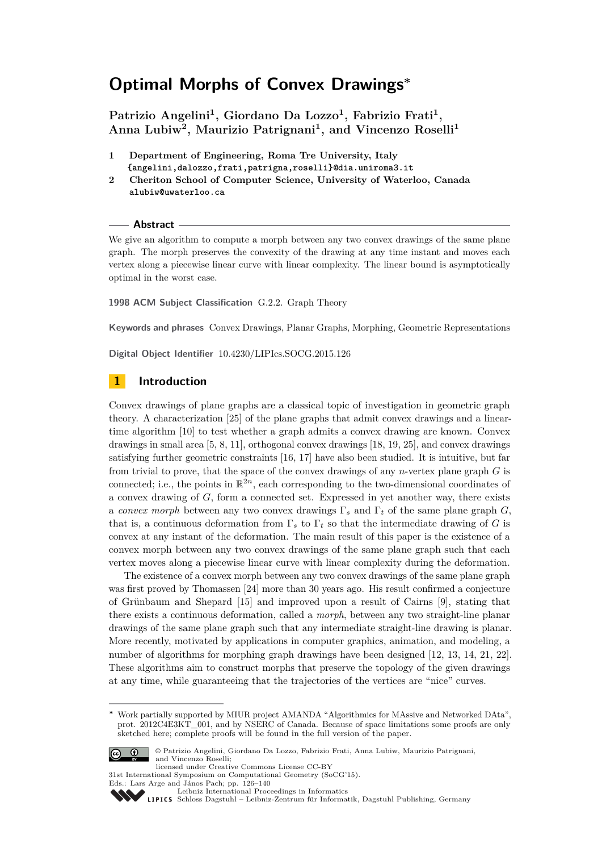**Patrizio Angelini<sup>1</sup> , Giordano Da Lozzo<sup>1</sup> , Fabrizio Frati<sup>1</sup> , Anna Lubiw<sup>2</sup> , Maurizio Patrignani<sup>1</sup> , and Vincenzo Roselli<sup>1</sup>**

- **1 Department of Engineering, Roma Tre University, Italy {angelini,dalozzo,frati,patrigna,roselli}@dia.uniroma3.it**
- **2 Cheriton School of Computer Science, University of Waterloo, Canada alubiw@uwaterloo.ca**

#### **Abstract**

We give an algorithm to compute a morph between any two convex drawings of the same plane graph. The morph preserves the convexity of the drawing at any time instant and moves each vertex along a piecewise linear curve with linear complexity. The linear bound is asymptotically optimal in the worst case.

**1998 ACM Subject Classification** G.2.2. Graph Theory

**Keywords and phrases** Convex Drawings, Planar Graphs, Morphing, Geometric Representations

**Digital Object Identifier** [10.4230/LIPIcs.SOCG.2015.126](http://dx.doi.org/10.4230/LIPIcs.SOCG.2015.126)

# **1 Introduction**

Convex drawings of plane graphs are a classical topic of investigation in geometric graph theory. A characterization [\[25\]](#page-14-0) of the plane graphs that admit convex drawings and a lineartime algorithm [\[10\]](#page-14-1) to test whether a graph admits a convex drawing are known. Convex drawings in small area [\[5,](#page-14-2) [8,](#page-14-3) [11\]](#page-14-4), orthogonal convex drawings [\[18,](#page-14-5) [19,](#page-14-6) [25\]](#page-14-0), and convex drawings satisfying further geometric constraints [\[16,](#page-14-7) [17\]](#page-14-8) have also been studied. It is intuitive, but far from trivial to prove, that the space of the convex drawings of any *n*-vertex plane graph *G* is connected; i.e., the points in  $\mathbb{R}^{2n}$ , each corresponding to the two-dimensional coordinates of a convex drawing of *G*, form a connected set. Expressed in yet another way, there exists a *convex morph* between any two convex drawings  $\Gamma_s$  and  $\Gamma_t$  of the same plane graph *G*, that is, a continuous deformation from  $\Gamma_s$  to  $\Gamma_t$  so that the intermediate drawing of *G* is convex at any instant of the deformation. The main result of this paper is the existence of a convex morph between any two convex drawings of the same plane graph such that each vertex moves along a piecewise linear curve with linear complexity during the deformation.

The existence of a convex morph between any two convex drawings of the same plane graph was first proved by Thomassen [\[24\]](#page-14-9) more than 30 years ago. His result confirmed a conjecture of Grünbaum and Shepard [\[15\]](#page-14-10) and improved upon a result of Cairns [\[9\]](#page-14-11), stating that there exists a continuous deformation, called a *morph*, between any two straight-line planar drawings of the same plane graph such that any intermediate straight-line drawing is planar. More recently, motivated by applications in computer graphics, animation, and modeling, a number of algorithms for morphing graph drawings have been designed [\[12,](#page-14-12) [13,](#page-14-13) [14,](#page-14-14) [21,](#page-14-15) [22\]](#page-14-16). These algorithms aim to construct morphs that preserve the topology of the given drawings at any time, while guaranteeing that the trajectories of the vertices are "nice" curves.

**<sup>∗</sup>** Work partially supported by MIUR project AMANDA "Algorithmics for MAssive and Networked DAta", prot. 2012C4E3KT\_001, and by NSERC of Canada. Because of space limitations some proofs are only sketched here; complete proofs will be found in the full version of the paper.



<sup>©</sup> Patrizio Angelini, Giordano Da Lozzo, Fabrizio Frati, Anna Lubiw, Maurizio Patrignani, and Vincenzo Roselli;

licensed under Creative Commons License CC-BY 31st International Symposium on Computational Geometry (SoCG'15).

Eds.: Lars Arge and János Pach; pp. 126[–140](#page-14-17)

[Leibniz International Proceedings in Informatics](http://www.dagstuhl.de/lipics/)

Leibniz international Froceedings in informatik, Dagstuhl Publishing, Germany<br>LIPICS [Schloss Dagstuhl – Leibniz-Zentrum für Informatik, Dagstuhl Publishing, Germany](http://www.dagstuhl.de)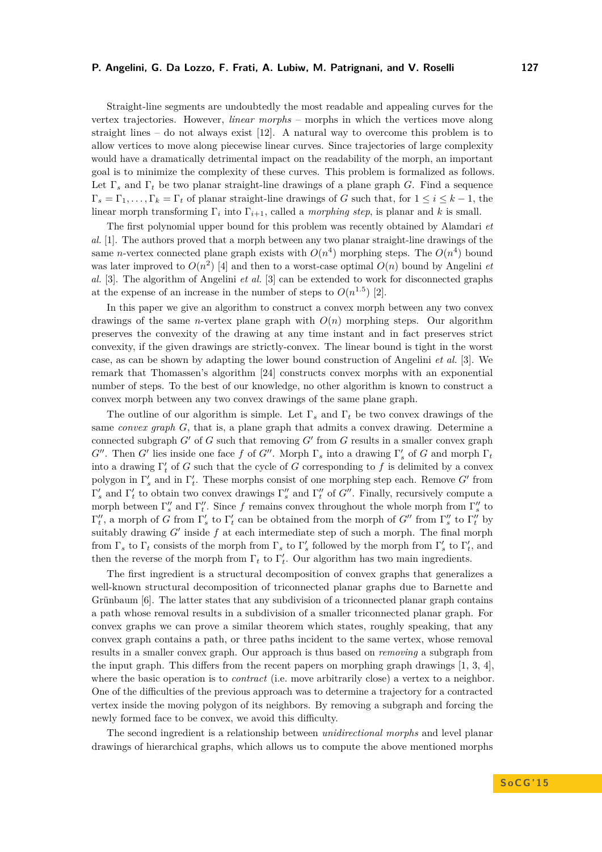Straight-line segments are undoubtedly the most readable and appealing curves for the vertex trajectories. However, *linear morphs* – morphs in which the vertices move along straight lines – do not always exist  $[12]$ . A natural way to overcome this problem is to allow vertices to move along piecewise linear curves. Since trajectories of large complexity would have a dramatically detrimental impact on the readability of the morph, an important goal is to minimize the complexity of these curves. This problem is formalized as follows. Let Γ*<sup>s</sup>* and Γ*<sup>t</sup>* be two planar straight-line drawings of a plane graph *G*. Find a sequence  $\Gamma_s = \Gamma_1, \ldots, \Gamma_k = \Gamma_t$  of planar straight-line drawings of *G* such that, for  $1 \le i \le k - 1$ , the linear morph transforming  $\Gamma_i$  into  $\Gamma_{i+1}$ , called a *morphing step*, is planar and k is small.

The first polynomial upper bound for this problem was recently obtained by Alamdari *et al.* [\[1\]](#page-14-18). The authors proved that a morph between any two planar straight-line drawings of the same *n*-vertex connected plane graph exists with  $O(n^4)$  morphing steps. The  $O(n^4)$  bound was later improved to  $O(n^2)$  [\[4\]](#page-14-19) and then to a worst-case optimal  $O(n)$  bound by Angelini *et al.* [\[3\]](#page-14-20). The algorithm of Angelini *et al.* [\[3\]](#page-14-20) can be extended to work for disconnected graphs at the expense of an increase in the number of steps to  $O(n^{1.5})$  [\[2\]](#page-14-21).

In this paper we give an algorithm to construct a convex morph between any two convex drawings of the same *n*-vertex plane graph with  $O(n)$  morphing steps. Our algorithm preserves the convexity of the drawing at any time instant and in fact preserves strict convexity, if the given drawings are strictly-convex. The linear bound is tight in the worst case, as can be shown by adapting the lower bound construction of Angelini *et al.* [\[3\]](#page-14-20). We remark that Thomassen's algorithm [\[24\]](#page-14-9) constructs convex morphs with an exponential number of steps. To the best of our knowledge, no other algorithm is known to construct a convex morph between any two convex drawings of the same plane graph.

The outline of our algorithm is simple. Let Γ*<sup>s</sup>* and Γ*<sup>t</sup>* be two convex drawings of the same *convex graph G*, that is, a plane graph that admits a convex drawing. Determine a connected subgraph  $G'$  of  $G$  such that removing  $G'$  from  $G$  results in a smaller convex graph *G*<sup>*m*</sup>. Then *G'* lies inside one face *f* of *G*<sup>*m*</sup>. Morph  $\Gamma_s$  into a drawing  $\Gamma'_s$  of *G* and morph  $\Gamma_t$ into a drawing  $\Gamma'$  of *G* such that the cycle of *G* corresponding to *f* is delimited by a convex polygon in  $\Gamma'_s$  and in  $\Gamma'_t$ . These morphs consist of one morphing step each. Remove  $G'$  from  $\Gamma'_s$  and  $\Gamma'_t$  to obtain two convex drawings  $\Gamma''_s$  and  $\Gamma''_t$  of *G*<sup>*u*</sup>. Finally, recursively compute a morph between  $\Gamma''_s$  and  $\Gamma''_t$ . Since *f* remains convex throughout the whole morph from  $\Gamma''_s$  to  $\Gamma''_t$ , a morph of *G* from Γ'<sub>s</sub> to Γ'<sub>t</sub> can be obtained from the morph of *G*<sup>n</sup> from Γ'<sub>s</sub> to Γ'<sub>t</sub> by suitably drawing  $G'$  inside  $f$  at each intermediate step of such a morph. The final morph from  $\Gamma_s$  to  $\Gamma_t$  consists of the morph from  $\Gamma_s$  to  $\Gamma'_s$  followed by the morph from  $\Gamma'_s$  to  $\Gamma'_t$ , and then the reverse of the morph from  $\Gamma_t$  to  $\Gamma'_t$ . Our algorithm has two main ingredients.

The first ingredient is a structural decomposition of convex graphs that generalizes a well-known structural decomposition of triconnected planar graphs due to Barnette and Grünbaum [\[6\]](#page-14-22). The latter states that any subdivision of a triconnected planar graph contains a path whose removal results in a subdivision of a smaller triconnected planar graph. For convex graphs we can prove a similar theorem which states, roughly speaking, that any convex graph contains a path, or three paths incident to the same vertex, whose removal results in a smaller convex graph. Our approach is thus based on *removing* a subgraph from the input graph. This differs from the recent papers on morphing graph drawings [\[1,](#page-14-18) [3,](#page-14-20) [4\]](#page-14-19), where the basic operation is to *contract* (i.e. move arbitrarily close) a vertex to a neighbor. One of the difficulties of the previous approach was to determine a trajectory for a contracted vertex inside the moving polygon of its neighbors. By removing a subgraph and forcing the newly formed face to be convex, we avoid this difficulty.

The second ingredient is a relationship between *unidirectional morphs* and level planar drawings of hierarchical graphs, which allows us to compute the above mentioned morphs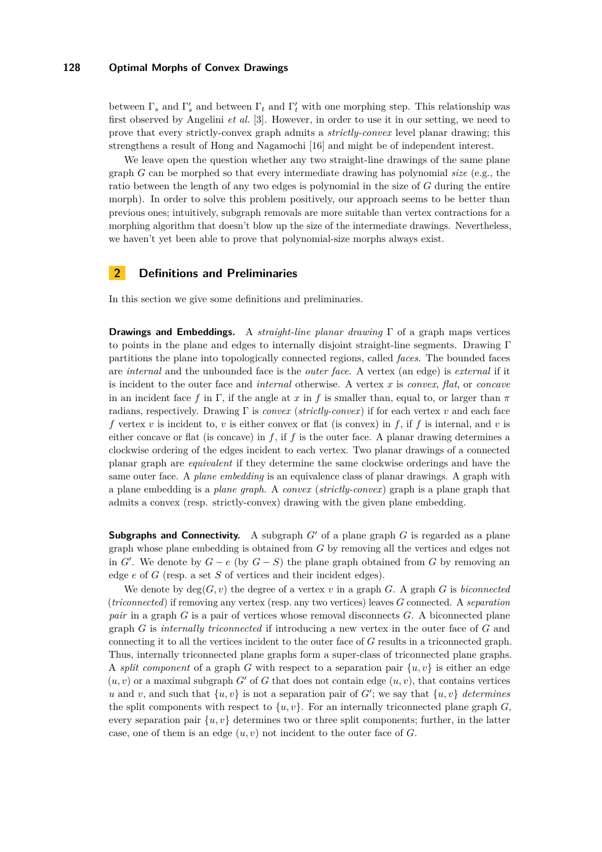between  $\Gamma_s$  and  $\Gamma'_s$  and between  $\Gamma_t$  and  $\Gamma'_t$  with one morphing step. This relationship was first observed by Angelini *et al.* [\[3\]](#page-14-20). However, in order to use it in our setting, we need to prove that every strictly-convex graph admits a *strictly-convex* level planar drawing; this strengthens a result of Hong and Nagamochi [\[16\]](#page-14-7) and might be of independent interest.

We leave open the question whether any two straight-line drawings of the same plane graph *G* can be morphed so that every intermediate drawing has polynomial *size* (e.g., the ratio between the length of any two edges is polynomial in the size of *G* during the entire morph). In order to solve this problem positively, our approach seems to be better than previous ones; intuitively, subgraph removals are more suitable than vertex contractions for a morphing algorithm that doesn't blow up the size of the intermediate drawings. Nevertheless, we haven't yet been able to prove that polynomial-size morphs always exist.

# **2 Definitions and Preliminaries**

In this section we give some definitions and preliminaries.

**Drawings and Embeddings.** A *straight-line planar drawing* Γ of a graph maps vertices to points in the plane and edges to internally disjoint straight-line segments. Drawing Γ partitions the plane into topologically connected regions, called *faces*. The bounded faces are *internal* and the unbounded face is the *outer face*. A vertex (an edge) is *external* if it is incident to the outer face and *internal* otherwise. A vertex *x* is *convex*, *flat*, or *concave* in an incident face f in  $\Gamma$ , if the angle at x in f is smaller than, equal to, or larger than  $\pi$ radians, respectively. Drawing Γ is *convex* (*strictly-convex*) if for each vertex *v* and each face *f* vertex *v* is incident to, *v* is either convex or flat (is convex) in *f*, if *f* is internal, and *v* is either concave or flat (is concave) in *f*, if *f* is the outer face. A planar drawing determines a clockwise ordering of the edges incident to each vertex. Two planar drawings of a connected planar graph are *equivalent* if they determine the same clockwise orderings and have the same outer face. A *plane embedding* is an equivalence class of planar drawings. A graph with a plane embedding is a *plane graph*. A *convex* (*strictly-convex*) graph is a plane graph that admits a convex (resp. strictly-convex) drawing with the given plane embedding.

**Subgraphs and Connectivity.** A subgraph  $G'$  of a plane graph  $G$  is regarded as a plane graph whose plane embedding is obtained from *G* by removing all the vertices and edges not in  $G'$ . We denote by  $G - e$  (by  $G - S$ ) the plane graph obtained from  $G$  by removing an edge *e* of *G* (resp. a set *S* of vertices and their incident edges).

We denote by  $deg(G, v)$  the degree of a vertex  $v$  in a graph  $G$ . A graph  $G$  is *biconnected* (*triconnected*) if removing any vertex (resp. any two vertices) leaves *G* connected. A *separation pair* in a graph *G* is a pair of vertices whose removal disconnects *G*. A biconnected plane graph *G* is *internally triconnected* if introducing a new vertex in the outer face of *G* and connecting it to all the vertices incident to the outer face of *G* results in a triconnected graph. Thus, internally triconnected plane graphs form a super-class of triconnected plane graphs. A *split component* of a graph *G* with respect to a separation pair  $\{u, v\}$  is either an edge  $(u, v)$  or a maximal subgraph *G'* of *G* that does not contain edge  $(u, v)$ , that contains vertices *u* and *v*, and such that  $\{u, v\}$  is not a separation pair of *G*'; we say that  $\{u, v\}$  *determines* the split components with respect to  $\{u, v\}$ . For an internally triconnected plane graph *G*, every separation pair  $\{u, v\}$  determines two or three split components; further, in the latter case, one of them is an edge  $(u, v)$  not incident to the outer face of  $G$ .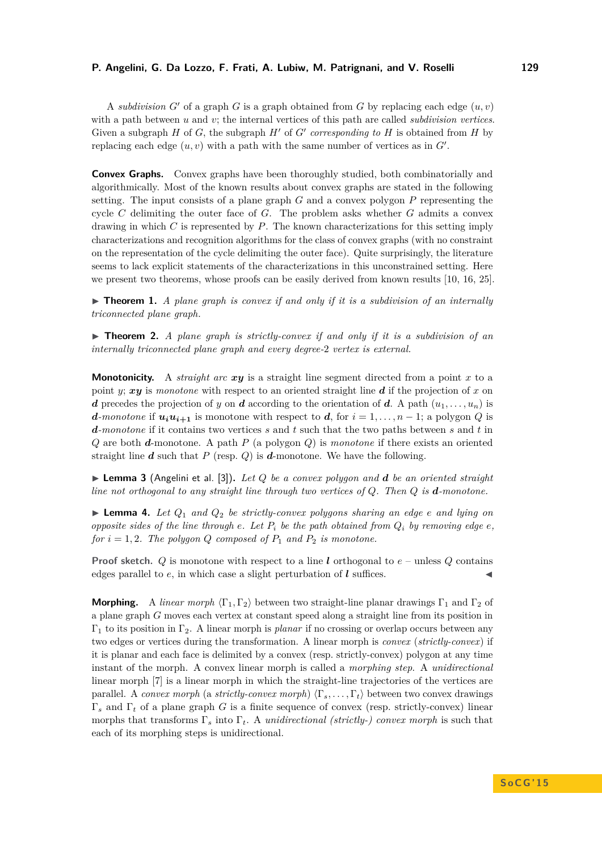### **P. Angelini, G. Da Lozzo, F. Frati, A. Lubiw, M. Patrignani, and V. Roselli 129**

A *subdivision*  $G'$  of a graph  $G$  is a graph obtained from  $G$  by replacing each edge  $(u, v)$ with a path between *u* and *v*; the internal vertices of this path are called *subdivision vertices*. Given a subgraph  $H$  of  $G$ , the subgraph  $H'$  of  $G'$  corresponding to  $H$  is obtained from  $H$  by replacing each edge  $(u, v)$  with a path with the same number of vertices as in  $G'$ .

**Convex Graphs.** Convex graphs have been thoroughly studied, both combinatorially and algorithmically. Most of the known results about convex graphs are stated in the following setting. The input consists of a plane graph *G* and a convex polygon *P* representing the cycle *C* delimiting the outer face of *G*. The problem asks whether *G* admits a convex drawing in which *C* is represented by *P*. The known characterizations for this setting imply characterizations and recognition algorithms for the class of convex graphs (with no constraint on the representation of the cycle delimiting the outer face). Quite surprisingly, the literature seems to lack explicit statements of the characterizations in this unconstrained setting. Here we present two theorems, whose proofs can be easily derived from known results [\[10,](#page-14-1) [16,](#page-14-7) [25\]](#page-14-0).

 $\triangleright$  **Theorem 1.** *A plane graph is convex if and only if it is a subdivision of an internally triconnected plane graph.*

<span id="page-3-0"></span>▶ **Theorem 2.** *A plane graph is strictly-convex if and only if it is a subdivision of an internally triconnected plane graph and every degree-*2 *vertex is external.*

**Monotonicity.** A *straight arc*  $xy$  is a straight line segment directed from a point x to a point *y*; *xy* is *monotone* with respect to an oriented straight line *d* if the projection of *x* on *d* precedes the projection of *y* on *d* according to the orientation of *d*. A path  $(u_1, \ldots, u_n)$  is *d-monotone* if  $u_i u_{i+1}$  is monotone with respect to *d*, for  $i = 1, \ldots, n-1$ ; a polygon *Q* is *d-monotone* if it contains two vertices *s* and *t* such that the two paths between *s* and *t* in *Q* are both *d*-monotone. A path *P* (a polygon *Q*) is *monotone* if there exists an oriented straight line  $d$  such that  $P$  (resp.  $Q$ ) is  $d$ -monotone. We have the following.

<span id="page-3-2"></span>**Example 3** (Angelini et al. [\[3\]](#page-14-20)). Let Q be a convex polygon and  $d$  be an oriented straight *line not orthogonal to any straight line through two vertices of Q. Then Q is d-monotone.*

<span id="page-3-1"></span>**I Lemma 4.** Let  $Q_1$  and  $Q_2$  be strictly-convex polygons sharing an edge  $e$  and lying on *opposite sides of the line through*  $e$ *. Let*  $P_i$  *be the path obtained from*  $Q_i$  *by removing edge*  $e$ *, for*  $i = 1, 2$ *. The polygon Q composed of*  $P_1$  *and*  $P_2$  *is monotone.* 

**Proof sketch.** *Q* is monotone with respect to a line *l* orthogonal to *e* – unless *Q* contains edges parallel to  $e$ , in which case a slight perturbation of  $\boldsymbol{l}$  suffices.

**Morphing.** A *linear morph*  $\langle \Gamma_1, \Gamma_2 \rangle$  between two straight-line planar drawings  $\Gamma_1$  and  $\Gamma_2$  of a plane graph *G* moves each vertex at constant speed along a straight line from its position in Γ<sup>1</sup> to its position in Γ2. A linear morph is *planar* if no crossing or overlap occurs between any two edges or vertices during the transformation. A linear morph is *convex* (*strictly-convex*) if it is planar and each face is delimited by a convex (resp. strictly-convex) polygon at any time instant of the morph. A convex linear morph is called a *morphing step*. A *unidirectional* linear morph [\[7\]](#page-14-23) is a linear morph in which the straight-line trajectories of the vertices are parallel. A *convex morph* (a *strictly-convex morph*)  $\langle \Gamma_s, \ldots, \Gamma_t \rangle$  between two convex drawings Γ*<sup>s</sup>* and Γ*<sup>t</sup>* of a plane graph *G* is a finite sequence of convex (resp. strictly-convex) linear morphs that transforms Γ*<sup>s</sup>* into Γ*t*. A *unidirectional (strictly-) convex morph* is such that each of its morphing steps is unidirectional.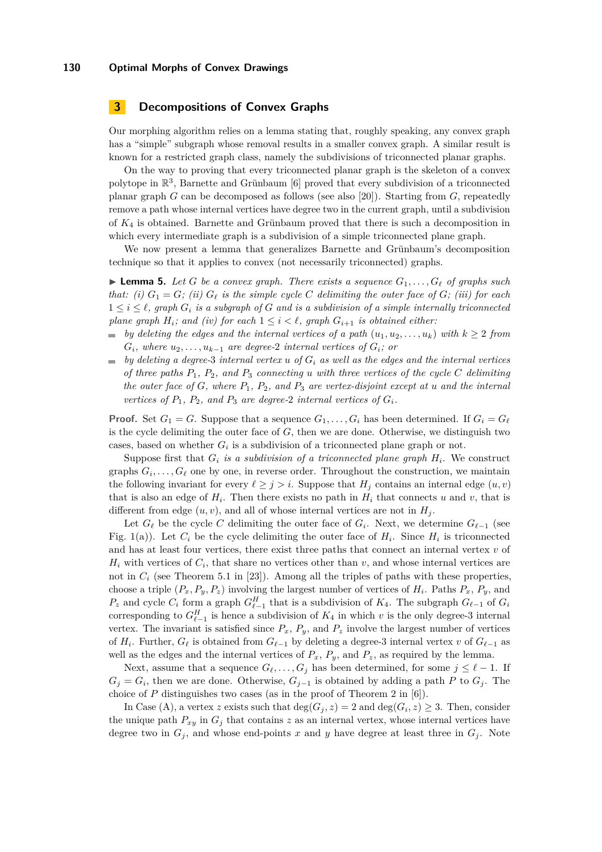## **3 Decompositions of Convex Graphs**

Our morphing algorithm relies on a lemma stating that, roughly speaking, any convex graph has a "simple" subgraph whose removal results in a smaller convex graph. A similar result is known for a restricted graph class, namely the subdivisions of triconnected planar graphs.

On the way to proving that every triconnected planar graph is the skeleton of a convex polytope in  $\mathbb{R}^3$ , Barnette and Grünbaum [\[6\]](#page-14-22) proved that every subdivision of a triconnected planar graph *G* can be decomposed as follows (see also [\[20\]](#page-14-24)). Starting from *G*, repeatedly remove a path whose internal vertices have degree two in the current graph, until a subdivision of *K*<sup>4</sup> is obtained. Barnette and Grünbaum proved that there is such a decomposition in which every intermediate graph is a subdivision of a simple triconnected plane graph.

We now present a lemma that generalizes Barnette and Grünbaum's decomposition technique so that it applies to convex (not necessarily triconnected) graphs.

<span id="page-4-0"></span> $\blacktriangleright$  **Lemma 5.** Let *G* be a convex graph. There exists a sequence  $G_1, \ldots, G_\ell$  of graphs such *that: (i)*  $G_1 = G$ *; (ii)*  $G_\ell$  *is the simple cycle C delimiting the outer face of*  $G$ *; (iii)* for each  $1 \leq i \leq \ell$ , graph  $G_i$  is a subgraph of G and is a subdivision of a simple internally triconnected *plane graph*  $H_i$ ; and (iv) for each  $1 \leq i \leq \ell$ , graph  $G_{i+1}$  *is obtained either:* 

- $\bullet$  *by deleting the edges and the internal vertices of a path*  $(u_1, u_2, \ldots, u_k)$  *with*  $k \geq 2$  *from*  $G_i$ *, where*  $u_2, \ldots, u_{k-1}$  *are degree-2 internal vertices of*  $G_i$ *; or*
- $\bullet$  *by deleting a degree-3 internal vertex u of*  $G_i$  *as well as the edges and the internal vertices of three paths P*1*, P*2*, and P*<sup>3</sup> *connecting u with three vertices of the cycle C delimiting the outer face of G, where P*1*, P*2*, and P*<sup>3</sup> *are vertex-disjoint except at u and the internal vertices of*  $P_1$ *,*  $P_2$ *, and*  $P_3$  *are degree-2 internal vertices of*  $G_i$ *.*

**Proof.** Set  $G_1 = G$ . Suppose that a sequence  $G_1, \ldots, G_i$  has been determined. If  $G_i = G_\ell$ is the cycle delimiting the outer face of *G*, then we are done. Otherwise, we distinguish two cases, based on whether  $G_i$  is a subdivision of a triconnected plane graph or not.

Suppose first that  $G_i$  *is a subdivision of a triconnected plane graph*  $H_i$ . We construct graphs  $G_i, \ldots, G_\ell$  one by one, in reverse order. Throughout the construction, we maintain the following invariant for every  $\ell \geq j > i$ . Suppose that  $H_j$  contains an internal edge  $(u, v)$ that is also an edge of  $H_i$ . Then there exists no path in  $H_i$  that connects  $u$  and  $v$ , that is different from edge  $(u, v)$ , and all of whose internal vertices are not in  $H_i$ .

Let  $G_{\ell}$  be the cycle *C* delimiting the outer face of  $G_i$ . Next, we determine  $G_{\ell-1}$  (see Fig. [1\(](#page-5-0)a)). Let  $C_i$  be the cycle delimiting the outer face of  $H_i$ . Since  $H_i$  is triconnected and has at least four vertices, there exist three paths that connect an internal vertex *v* of  $H_i$  with vertices of  $C_i$ , that share no vertices other than  $v$ , and whose internal vertices are not in  $C_i$  (see Theorem 5.1 in [\[23\]](#page-14-25)). Among all the triples of paths with these properties, choose a triple  $(P_x, P_y, P_z)$  involving the largest number of vertices of  $H_i$ . Paths  $P_x, P_y$ , and  $P_z$  and cycle  $C_i$  form a graph  $G_{\ell-1}^H$  that is a subdivision of  $K_4$ . The subgraph  $G_{\ell-1}$  of  $G_i$ corresponding to  $G_{\ell-1}^H$  is hence a subdivision of  $K_4$  in which  $v$  is the only degree-3 internal vertex. The invariant is satisfied since  $P_x$ ,  $P_y$ , and  $P_z$  involve the largest number of vertices of  $H_i$ . Further,  $G_{\ell}$  is obtained from  $G_{\ell-1}$  by deleting a degree-3 internal vertex *v* of  $G_{\ell-1}$  as well as the edges and the internal vertices of  $P_x$ ,  $P_y$ , and  $P_z$ , as required by the lemma.

Next, assume that a sequence  $G_\ell, \ldots, G_j$  has been determined, for some  $j \leq \ell - 1$ . If  $G_j = G_i$ , then we are done. Otherwise,  $G_{j-1}$  is obtained by adding a path *P* to  $G_j$ . The choice of *P* distinguishes two cases (as in the proof of Theorem 2 in [\[6\]](#page-14-22)).

In Case (A), a vertex *z* exists such that  $deg(G_j, z) = 2$  and  $deg(G_i, z) \geq 3$ . Then, consider the unique path  $P_{xy}$  in  $G_j$  that contains *z* as an internal vertex, whose internal vertices have degree two in  $G_j$ , and whose end-points x and y have degree at least three in  $G_j$ . Note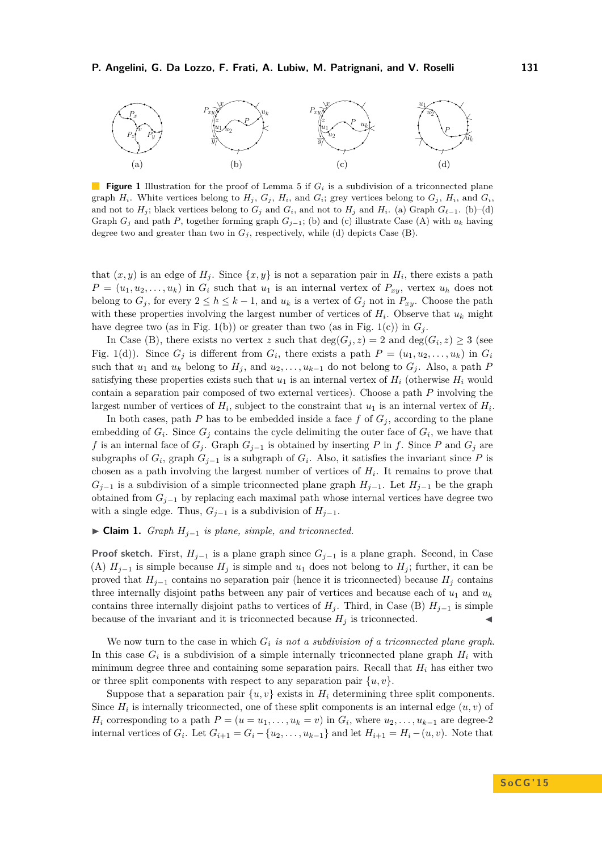<span id="page-5-0"></span>

**Figure 1** Illustration for the proof of Lemma [5](#page-4-0) if  $G_i$  is a subdivision of a triconnected plane graph  $H_i$ . White vertices belong to  $H_j$ ,  $G_j$ ,  $H_i$ , and  $G_i$ ; grey vertices belong to  $G_j$ ,  $H_i$ , and  $G_i$ and not to  $H_j$ ; black vertices belong to  $G_j$  and  $G_i$ , and not to  $H_j$  and  $H_i$ . (a) Graph  $G_{\ell-1}$ . (b)–(d) Graph  $G_j$  and path  $P$ , together forming graph  $G_{j-1}$ ; (b) and (c) illustrate Case (A) with  $u_k$  having degree two and greater than two in  $G_j$ , respectively, while (d) depicts Case (B).

that  $(x, y)$  is an edge of  $H_j$ . Since  $\{x, y\}$  is not a separation pair in  $H_i$ , there exists a path  $P = (u_1, u_2, \ldots, u_k)$  in  $G_i$  such that  $u_1$  is an internal vertex of  $P_{xy}$ , vertex  $u_h$  does not belong to  $G_j$ , for every  $2 \leq h \leq k-1$ , and  $u_k$  is a vertex of  $G_j$  not in  $P_{xy}$ . Choose the path with these properties involving the largest number of vertices of  $H_i$ . Observe that  $u_k$  might have degree two (as in Fig. [1\(](#page-5-0)b)) or greater than two (as in Fig. 1(c)) in  $G_i$ .

In Case (B), there exists no vertex *z* such that  $deg(G_j, z) = 2$  and  $deg(G_i, z) \geq 3$  (see Fig. [1\(](#page-5-0)d)). Since  $G_j$  is different from  $G_i$ , there exists a path  $P = (u_1, u_2, \ldots, u_k)$  in  $G_i$ such that  $u_1$  and  $u_k$  belong to  $H_j$ , and  $u_2, \ldots, u_{k-1}$  do not belong to  $G_j$ . Also, a path P satisfying these properties exists such that  $u_1$  is an internal vertex of  $H_i$  (otherwise  $H_i$  would contain a separation pair composed of two external vertices). Choose a path *P* involving the largest number of vertices of  $H_i$ , subject to the constraint that  $u_1$  is an internal vertex of  $H_i$ .

In both cases, path *P* has to be embedded inside a face  $f$  of  $G_i$ , according to the plane embedding of  $G_i$ . Since  $G_j$  contains the cycle delimiting the outer face of  $G_i$ , we have that *f* is an internal face of  $G_j$ . Graph  $G_{j-1}$  is obtained by inserting *P* in *f*. Since *P* and  $G_j$  are subgraphs of  $G_i$ , graph  $G_{j-1}$  is a subgraph of  $G_i$ . Also, it satisfies the invariant since P is chosen as a path involving the largest number of vertices of  $H_i$ . It remains to prove that  $G_{i-1}$  is a subdivision of a simple triconnected plane graph  $H_{i-1}$ . Let  $H_{i-1}$  be the graph obtained from *Gj*−<sup>1</sup> by replacing each maximal path whose internal vertices have degree two with a single edge. Thus,  $G_{j-1}$  is a subdivision of  $H_{j-1}$ .

# ► **Claim 1.** *Graph*  $H_{i-1}$  *is plane, simple, and triconnected.*

**Proof sketch.** First, *Hj*−<sup>1</sup> is a plane graph since *Gj*−<sup>1</sup> is a plane graph. Second, in Case (A)  $H_{j-1}$  is simple because  $H_j$  is simple and  $u_1$  does not belong to  $H_j$ ; further, it can be proved that  $H_{j-1}$  contains no separation pair (hence it is triconnected) because  $H_j$  contains three internally disjoint paths between any pair of vertices and because each of  $u_1$  and  $u_k$ contains three internally disjoint paths to vertices of  $H_j$ . Third, in Case (B)  $H_{j-1}$  is simple because of the invariant and it is triconnected because  $H_i$  is triconnected.

We now turn to the case in which *G<sup>i</sup> is not a subdivision of a triconnected plane graph*. In this case  $G_i$  is a subdivision of a simple internally triconnected plane graph  $H_i$  with minimum degree three and containing some separation pairs. Recall that *H<sup>i</sup>* has either two or three split components with respect to any separation pair  $\{u, v\}$ .

Suppose that a separation pair  $\{u, v\}$  exists in  $H_i$  determining three split components. Since  $H_i$  is internally triconnected, one of these split components is an internal edge  $(u, v)$  of *H*<sub>i</sub> corresponding to a path  $P = (u = u_1, \ldots, u_k = v)$  in  $G_i$ , where  $u_2, \ldots, u_{k-1}$  are degree-2 internal vertices of  $G_i$ . Let  $G_{i+1} = G_i - \{u_2, \ldots, u_{k-1}\}\$  and let  $H_{i+1} = H_i - (u, v)$ . Note that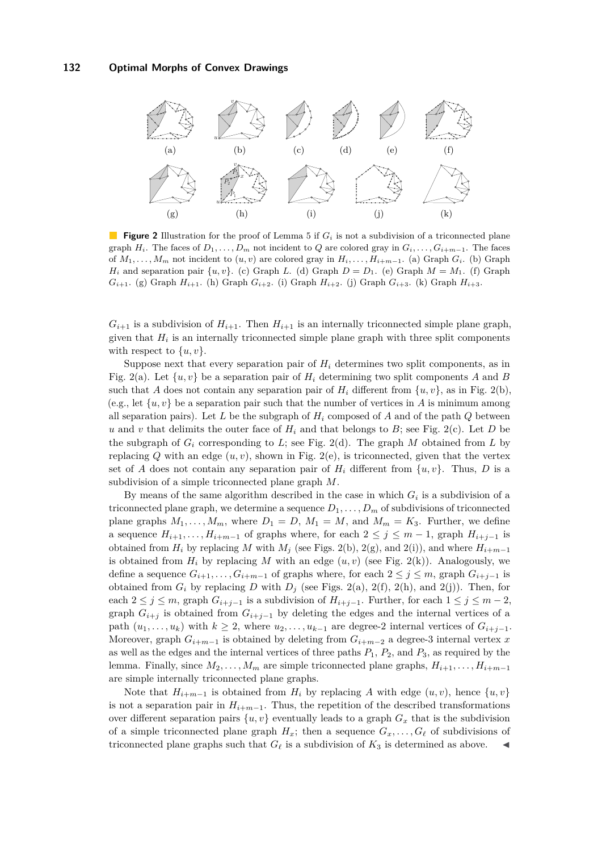<span id="page-6-0"></span>

**Figure 2** Illustration for the proof of Lemma [5](#page-4-0) if  $G_i$  is not a subdivision of a triconnected plane graph  $H_i$ . The faces of  $D_1, \ldots, D_m$  not incident to  $Q$  are colored gray in  $G_i, \ldots, G_{i+m-1}$ . The faces of  $M_1, \ldots, M_m$  not incident to  $(u, v)$  are colored gray in  $H_i, \ldots, H_{i+m-1}$ . (a) Graph  $G_i$ . (b) Graph *H*<sub>i</sub> and separation pair  $\{u, v\}$ . (c) Graph *L*. (d) Graph  $D = D_1$ . (e) Graph  $M = M_1$ . (f) Graph *G*<sub>*i*</sub>+1. (g) Graph *H*<sub>*i*</sub>+1. (h) Graph *G*<sub>*i*</sub>+2. (i) Graph *H*<sub>*i*+2</sub>. (j) Graph *G*<sub>*i*+3</sub>. (k) Graph *H*<sub>*i*+3</sub>.

 $G_{i+1}$  is a subdivision of  $H_{i+1}$ . Then  $H_{i+1}$  is an internally triconnected simple plane graph, given that  $H_i$  is an internally triconnected simple plane graph with three split components with respect to  $\{u, v\}$ .

Suppose next that every separation pair of  $H_i$  determines two split components, as in Fig. [2\(](#page-6-0)a). Let  $\{u, v\}$  be a separation pair of  $H_i$  determining two split components A and B such that *A* does not contain any separation pair of  $H_i$  different from  $\{u, v\}$ , as in Fig. [2\(](#page-6-0)b), (e.g., let  $\{u, v\}$  be a separation pair such that the number of vertices in *A* is minimum among all separation pairs). Let *L* be the subgraph of *H<sup>i</sup>* composed of *A* and of the path *Q* between *u* and *v* that delimits the outer face of  $H_i$  and that belongs to *B*; see Fig. [2\(](#page-6-0)c). Let *D* be the subgraph of  $G_i$  corresponding to  $L$ ; see Fig. [2\(](#page-6-0)d). The graph  $M$  obtained from  $L$  by replacing  $Q$  with an edge  $(u, v)$ , shown in Fig. [2\(](#page-6-0)e), is triconnected, given that the vertex set of *A* does not contain any separation pair of  $H_i$  different from  $\{u, v\}$ . Thus, *D* is a subdivision of a simple triconnected plane graph *M*.

By means of the same algorithm described in the case in which  $G_i$  is a subdivision of a triconnected plane graph, we determine a sequence  $D_1, \ldots, D_m$  of subdivisions of triconnected plane graphs  $M_1, \ldots, M_m$ , where  $D_1 = D$ ,  $M_1 = M$ , and  $M_m = K_3$ . Further, we define a sequence  $H_{i+1}, \ldots, H_{i+m-1}$  of graphs where, for each  $2 \leq j \leq m-1$ , graph  $H_{i+j-1}$  is obtained from  $H_i$  by replacing *M* with  $M_j$  (see Figs. [2\(](#page-6-0)b), 2(g), and 2(i)), and where  $H_{i+m-1}$ is obtained from  $H_i$  by replacing M with an edge  $(u, v)$  (see Fig. [2\(](#page-6-0)k)). Analogously, we define a sequence  $G_{i+1}, \ldots, G_{i+m-1}$  of graphs where, for each  $2 \leq j \leq m$ , graph  $G_{i+j-1}$  is obtained from  $G_i$  by replacing *D* with  $D_j$  (see Figs. [2\(](#page-6-0)a), 2(f), 2(h), and 2(j)). Then, for each  $2 \leq j \leq m$ , graph  $G_{i+j-1}$  is a subdivision of  $H_{i+j-1}$ . Further, for each  $1 \leq j \leq m-2$ , graph  $G_{i+j}$  is obtained from  $G_{i+j-1}$  by deleting the edges and the internal vertices of a path  $(u_1, \ldots, u_k)$  with  $k \geq 2$ , where  $u_2, \ldots, u_{k-1}$  are degree-2 internal vertices of  $G_{i+i-1}$ . Moreover, graph  $G_{i+m-1}$  is obtained by deleting from  $G_{i+m-2}$  a degree-3 internal vertex *x* as well as the edges and the internal vertices of three paths  $P_1$ ,  $P_2$ , and  $P_3$ , as required by the lemma. Finally, since  $M_2, \ldots, M_m$  are simple triconnected plane graphs,  $H_{i+1}, \ldots, H_{i+m-1}$ are simple internally triconnected plane graphs.

Note that  $H_{i+m-1}$  is obtained from  $H_i$  by replacing A with edge  $(u, v)$ , hence  $\{u, v\}$ is not a separation pair in  $H_{i+m-1}$ . Thus, the repetition of the described transformations over different separation pairs  $\{u, v\}$  eventually leads to a graph  $G_x$  that is the subdivision of a simple triconnected plane graph  $H_x$ ; then a sequence  $G_x, \ldots, G_\ell$  of subdivisions of triconnected plane graphs such that  $G_{\ell}$  is a subdivision of  $K_3$  is determined as above.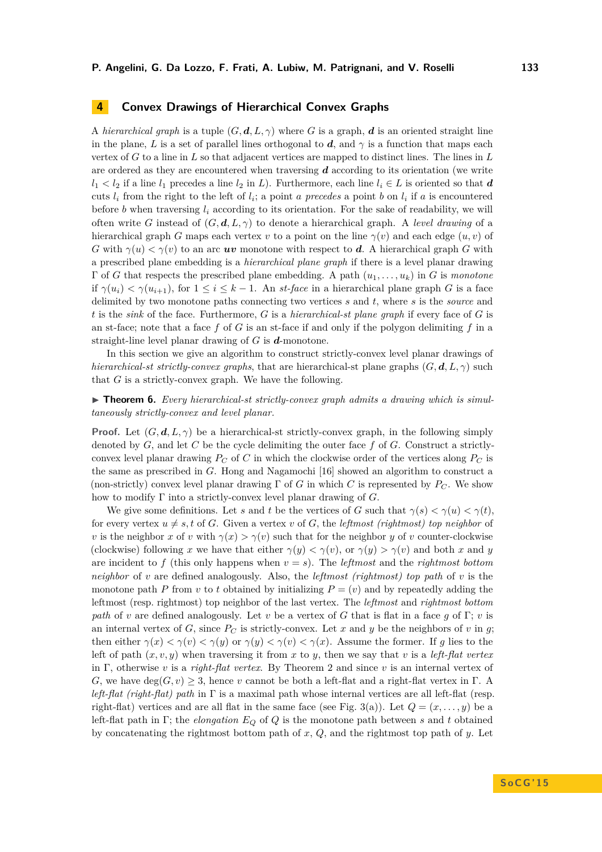# **4 Convex Drawings of Hierarchical Convex Graphs**

A *hierarchical graph* is a tuple  $(G, \mathbf{d}, L, \gamma)$  where *G* is a graph, *d* is an oriented straight line in the plane, *L* is a set of parallel lines orthogonal to *d*, and  $\gamma$  is a function that maps each vertex of *G* to a line in *L* so that adjacent vertices are mapped to distinct lines. The lines in *L* are ordered as they are encountered when traversing *d* according to its orientation (we write  $l_1 < l_2$  if a line  $l_1$  precedes a line  $l_2$  in *L*). Furthermore, each line  $l_i \in L$  is oriented so that *d* cuts  $l_i$  from the right to the left of  $l_i$ ; a point *a* precedes a point *b* on  $l_i$  if *a* is encountered before *b* when traversing *l<sup>i</sup>* according to its orientation. For the sake of readability, we will often write *G* instead of (*G, d, L, γ*) to denote a hierarchical graph. A *level drawing* of a hierarchical graph *G* maps each vertex *v* to a point on the line  $\gamma(v)$  and each edge  $(u, v)$  of *G* with  $\gamma(u) < \gamma(v)$  to an arc *uv* monotone with respect to *d*. A hierarchical graph *G* with a prescribed plane embedding is a *hierarchical plane graph* if there is a level planar drawing Γ of *G* that respects the prescribed plane embedding. A path (*u*1*, . . . , uk*) in *G* is *monotone* if  $\gamma(u_i) < \gamma(u_{i+1})$ , for  $1 \leq i \leq k-1$ . An *st-face* in a hierarchical plane graph *G* is a face delimited by two monotone paths connecting two vertices *s* and *t*, where *s* is the *source* and *t* is the *sink* of the face. Furthermore, *G* is a *hierarchical-st plane graph* if every face of *G* is an st-face; note that a face *f* of *G* is an st-face if and only if the polygon delimiting *f* in a straight-line level planar drawing of *G* is *d*-monotone.

In this section we give an algorithm to construct strictly-convex level planar drawings of *hierarchical-st strictly-convex graphs*, that are hierarchical-st plane graphs  $(G, \mathbf{d}, L, \gamma)$  such that *G* is a strictly-convex graph. We have the following.

<span id="page-7-0"></span>▶ **Theorem 6.** *Every hierarchical-st strictly-convex graph admits a drawing which is simultaneously strictly-convex and level planar.*

**Proof.** Let  $(G, d, L, \gamma)$  be a hierarchical-st strictly-convex graph, in the following simply denoted by *G*, and let *C* be the cycle delimiting the outer face *f* of *G*. Construct a strictlyconvex level planar drawing  $P_C$  of  $C$  in which the clockwise order of the vertices along  $P_C$  is the same as prescribed in *G*. Hong and Nagamochi [\[16\]](#page-14-7) showed an algorithm to construct a (non-strictly) convex level planar drawing  $\Gamma$  of *G* in which *C* is represented by  $P_C$ . We show how to modify Γ into a strictly-convex level planar drawing of *G*.

We give some definitions. Let *s* and *t* be the vertices of *G* such that  $\gamma(s) < \gamma(u) < \gamma(t)$ . for every vertex  $u \neq s$ , t of *G*. Given a vertex *v* of *G*, the *leftmost* (*rightmost*) top neighbor of *v* is the neighbor *x* of *v* with  $\gamma(x) > \gamma(v)$  such that for the neighbor *y* of *v* counter-clockwise (clockwise) following *x* we have that either  $\gamma(y) < \gamma(v)$ , or  $\gamma(y) > \gamma(v)$  and both *x* and *y* are incident to f (this only happens when  $v = s$ ). The *leftmost* and the *rightmost bottom neighbor* of *v* are defined analogously. Also, the *leftmost (rightmost) top path* of *v* is the monotone path *P* from *v* to *t* obtained by initializing  $P = (v)$  and by repeatedly adding the leftmost (resp. rightmost) top neighbor of the last vertex. The *leftmost* and *rightmost bottom path* of *v* are defined analogously. Let *v* be a vertex of *G* that is flat in a face *g* of Γ; *v* is an internal vertex of *G*, since  $P_C$  is strictly-convex. Let *x* and *y* be the neighbors of *v* in *g*; then either  $\gamma(x) < \gamma(v) < \gamma(y) < \gamma(v) < \gamma(x)$ . Assume the former. If *g* lies to the left of path  $(x, v, y)$  when traversing it from x to y, then we say that v is a *left-flat vertex* in Γ, otherwise *v* is a *right-flat vertex*. By Theorem [2](#page-3-0) and since *v* is an internal vertex of *G*, we have  $deg(G, v) \geq 3$ , hence *v* cannot be both a left-flat and a right-flat vertex in Γ. A *left-flat (right-flat) path* in Γ is a maximal path whose internal vertices are all left-flat (resp. right-flat) vertices and are all flat in the same face (see Fig. [3\(](#page-8-0)a)). Let  $Q = (x, \ldots, y)$  be a left-flat path in Γ; the *elongation E<sup>Q</sup>* of *Q* is the monotone path between *s* and *t* obtained by concatenating the rightmost bottom path of *x*, *Q*, and the rightmost top path of *y*. Let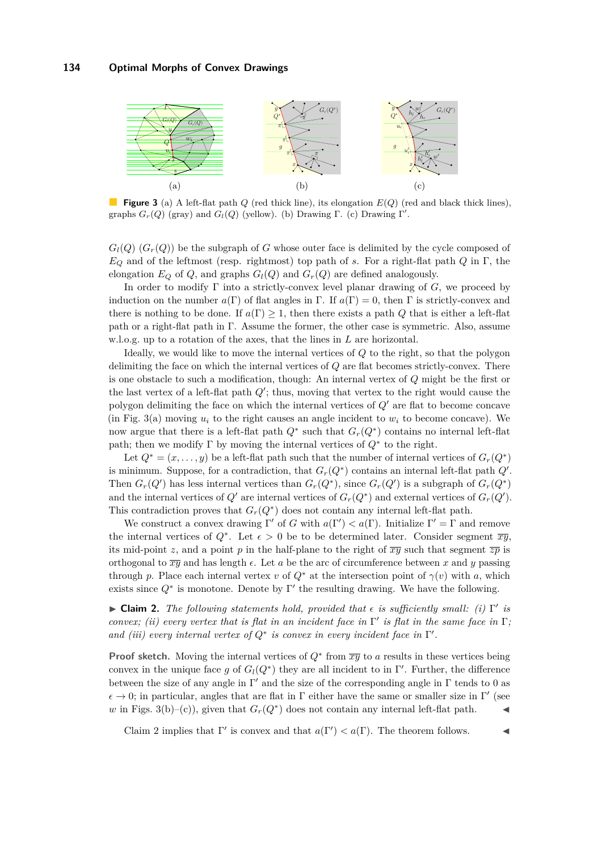<span id="page-8-0"></span>

**Figure 3** (a) A left-flat path *Q* (red thick line), its elongation *E*(*Q*) (red and black thick lines), graphs  $G_r(Q)$  (gray) and  $G_l(Q)$  (yellow). (b) Drawing  $\Gamma$ . (c) Drawing  $\Gamma'$ .

 $G_l(Q)$  ( $G_r(Q)$ ) be the subgraph of *G* whose outer face is delimited by the cycle composed of *E<sup>Q</sup>* and of the leftmost (resp. rightmost) top path of *s*. For a right-flat path *Q* in Γ, the elongation  $E_Q$  of  $Q$ , and graphs  $G_l(Q)$  and  $G_r(Q)$  are defined analogously.

In order to modify  $\Gamma$  into a strictly-convex level planar drawing of  $G$ , we proceed by induction on the number  $a(\Gamma)$  of flat angles in  $\Gamma$ . If  $a(\Gamma) = 0$ , then  $\Gamma$  is strictly-convex and there is nothing to be done. If  $a(\Gamma) \geq 1$ , then there exists a path *Q* that is either a left-flat path or a right-flat path in Γ. Assume the former, the other case is symmetric. Also, assume w.l.o.g. up to a rotation of the axes, that the lines in *L* are horizontal.

Ideally, we would like to move the internal vertices of *Q* to the right, so that the polygon delimiting the face on which the internal vertices of *Q* are flat becomes strictly-convex. There is one obstacle to such a modification, though: An internal vertex of *Q* might be the first or the last vertex of a left-flat path  $Q'$ ; thus, moving that vertex to the right would cause the polygon delimiting the face on which the internal vertices of  $Q'$  are flat to become concave (in Fig. [3\(](#page-8-0)a) moving  $u_i$  to the right causes an angle incident to  $w_i$  to become concave). We now argue that there is a left-flat path  $Q^*$  such that  $G_r(Q^*)$  contains no internal left-flat path; then we modify  $\Gamma$  by moving the internal vertices of  $Q^*$  to the right.

Let  $Q^* = (x, \ldots, y)$  be a left-flat path such that the number of internal vertices of  $G_r(Q^*)$ is minimum. Suppose, for a contradiction, that  $G_r(Q^*)$  contains an internal left-flat path  $Q'$ . Then  $G_r(Q')$  has less internal vertices than  $G_r(Q^*)$ , since  $G_r(Q')$  is a subgraph of  $G_r(Q^*)$ and the internal vertices of  $Q'$  are internal vertices of  $G_r(Q^*)$  and external vertices of  $G_r(Q')$ . This contradiction proves that  $G_r(Q^*)$  does not contain any internal left-flat path.

We construct a convex drawing  $\Gamma'$  of *G* with  $a(\Gamma') < a(\Gamma)$ . Initialize  $\Gamma' = \Gamma$  and remove the internal vertices of  $Q^*$ . Let  $\epsilon > 0$  be to be determined later. Consider segment  $\overline{xy}$ , its mid-point *z*, and a point *p* in the half-plane to the right of  $\overline{xy}$  such that segment  $\overline{zp}$  is orthogonal to  $\overline{xy}$  and has length  $\epsilon$ . Let *a* be the arc of circumference between *x* and *y* passing through *p*. Place each internal vertex *v* of  $Q^*$  at the intersection point of  $\gamma(v)$  with *a*, which exists since  $Q^*$  is monotone. Denote by  $\Gamma'$  the resulting drawing. We have the following.

<span id="page-8-1"></span>**Claim 2.** *The following statements hold, provided that*  $\epsilon$  *is sufficiently small: (i)* Γ' *is convex; (ii) every vertex that is flat in an incident face in*  $\Gamma'$  *is flat in the same face in*  $\Gamma$ ; *and (iii) every internal vertex of*  $Q^*$  *is convex in every incident face in*  $\Gamma'$ *.* 

**Proof sketch.** Moving the internal vertices of  $Q^*$  from  $\overline{xy}$  to *a* results in these vertices being convex in the unique face *g* of  $G_l(Q^*)$  they are all incident to in Γ'. Further, the difference between the size of any angle in  $\Gamma'$  and the size of the corresponding angle in  $\Gamma$  tends to 0 as  $\epsilon \to 0$ ; in particular, angles that are flat in  $\Gamma$  either have the same or smaller size in  $\Gamma'$  (see *w* in Figs. [3\(](#page-8-0)b)–(c)), given that  $G_r(Q^*)$  does not contain any internal left-flat path.

Claim [2](#page-8-1) implies that  $\Gamma'$  is convex and that  $a(\Gamma') < a(\Gamma)$ . The theorem follows.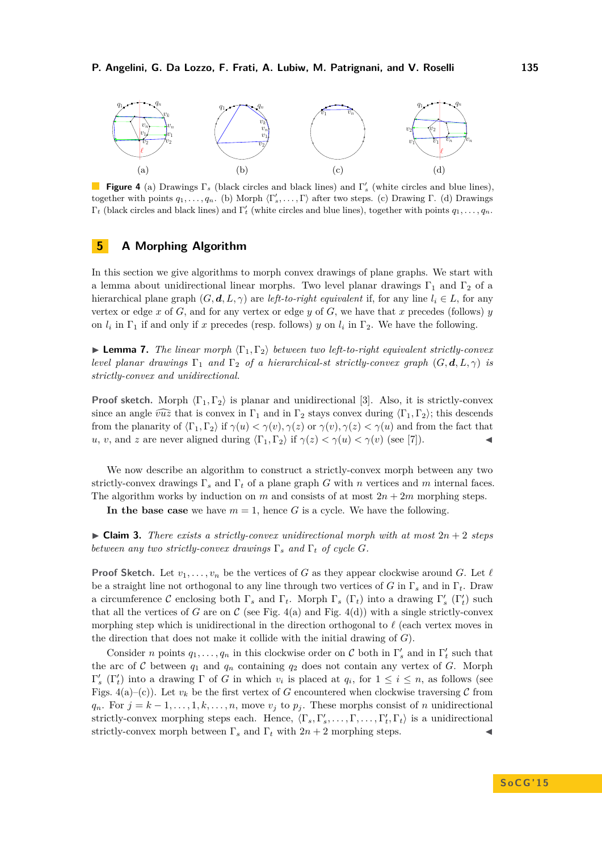<span id="page-9-0"></span>

**Figure 4** (a) Drawings  $\Gamma_s$  (black circles and black lines) and  $\Gamma'_s$  (white circles and blue lines), together with points  $q_1, \ldots, q_n$ . (b) Morph  $\langle \Gamma'_s, \ldots, \Gamma \rangle$  after two steps. (c) Drawing Γ. (d) Drawings  $\Gamma_t$  (black circles and black lines) and  $\Gamma'_t$  (white circles and blue lines), together with points  $q_1, \ldots, q_n$ .

# **5 A Morphing Algorithm**

In this section we give algorithms to morph convex drawings of plane graphs. We start with a lemma about unidirectional linear morphs. Two level planar drawings  $\Gamma_1$  and  $\Gamma_2$  of a hierarchical plane graph  $(G, \mathbf{d}, L, \gamma)$  are *left-to-right equivalent* if, for any line  $l_i \in L$ , for any vertex or edge  $x$  of  $G$ , and for any vertex or edge  $y$  of  $G$ , we have that  $x$  precedes (follows)  $y$ on  $l_i$  in  $\Gamma_1$  if and only if *x* precedes (resp. follows) *y* on  $l_i$  in  $\Gamma_2$ . We have the following.

<span id="page-9-1"></span>**Lemma 7.** *The linear morph*  $\langle \Gamma_1, \Gamma_2 \rangle$  *between two left-to-right equivalent strictly-convex level planar drawings*  $\Gamma_1$  *and*  $\Gamma_2$  *of a hierarchical-st strictly-convex graph*  $(G, \mathbf{d}, L, \gamma)$  *is strictly-convex and unidirectional.*

**Proof sketch.** Morph  $\langle \Gamma_1, \Gamma_2 \rangle$  is planar and unidirectional [\[3\]](#page-14-20). Also, it is strictly-convex since an angle  $\widehat{vuz}$  that is convex in Γ<sub>1</sub> and in Γ<sub>2</sub> stays convex during  $\langle \Gamma_1, \Gamma_2 \rangle$ ; this descends from the planarity of  $\langle \Gamma_1, \Gamma_2 \rangle$  if  $\gamma(u) < \gamma(v), \gamma(z)$  or  $\gamma(v), \gamma(z) < \gamma(u)$  and from the fact that *u*, *v*, and *z* are never aligned during  $\langle \Gamma_1, \Gamma_2 \rangle$  if  $\gamma(z) < \gamma(u) < \gamma(v)$  (see [\[7\]](#page-14-23)).

We now describe an algorithm to construct a strictly-convex morph between any two strictly-convex drawings Γ*<sup>s</sup>* and Γ*<sup>t</sup>* of a plane graph *G* with *n* vertices and *m* internal faces. The algorithm works by induction on *m* and consists of at most  $2n + 2m$  morphing steps.

In the base case we have  $m = 1$ , hence *G* is a cycle. We have the following.

 $\triangleright$  **Claim 3.** *There exists a strictly-convex unidirectional morph with at most*  $2n + 2$  *steps between any two strictly-convex drawings*  $\Gamma_s$  *and*  $\Gamma_t$  *of cycle G.* 

**Proof Sketch.** Let  $v_1, \ldots, v_n$  be the vertices of *G* as they appear clockwise around *G*. Let  $\ell$ be a straight line not orthogonal to any line through two vertices of *G* in Γ*<sup>s</sup>* and in Γ*t*. Draw a circumference  $\mathcal C$  enclosing both  $\Gamma_s$  and  $\Gamma_t$ . Morph  $\Gamma_s$  ( $\Gamma_t$ ) into a drawing  $\Gamma'_s$  ( $\Gamma'_t$ ) such that all the vertices of *G* are on  $\mathcal C$  (see Fig. [4\(](#page-9-0)a) and Fig. 4(d)) with a single strictly-convex morphing step which is unidirectional in the direction orthogonal to  $\ell$  (each vertex moves in the direction that does not make it collide with the initial drawing of *G*).

Consider *n* points  $q_1, \ldots, q_n$  in this clockwise order on C both in  $\Gamma'_s$  and in  $\Gamma'_t$  such that the arc of C between  $q_1$  and  $q_n$  containing  $q_2$  does not contain any vertex of G. Morph  $Γ'_{s}$  (Γ'<sub>t</sub>) into a drawing Γ of *G* in which *v<sub>i</sub>* is placed at *q<sub>i</sub>*, for 1 ≤ *i* ≤ *n*, as follows (see Figs.  $4(a)$ –(c)). Let  $v_k$  be the first vertex of *G* encountered when clockwise traversing *C* from  $q_n$ . For  $j = k - 1, \ldots, 1, k, \ldots, n$ , move  $v_j$  to  $p_j$ . These morphs consist of *n* unidirectional strictly-convex morphing steps each. Hence,  $\langle \Gamma_s, \Gamma'_s, \ldots, \Gamma, \ldots, \Gamma'_t, \Gamma_t \rangle$  is a unidirectional strictly-convex morph between  $\Gamma_s$  and  $\Gamma_t$  with  $2n+2$  morphing steps.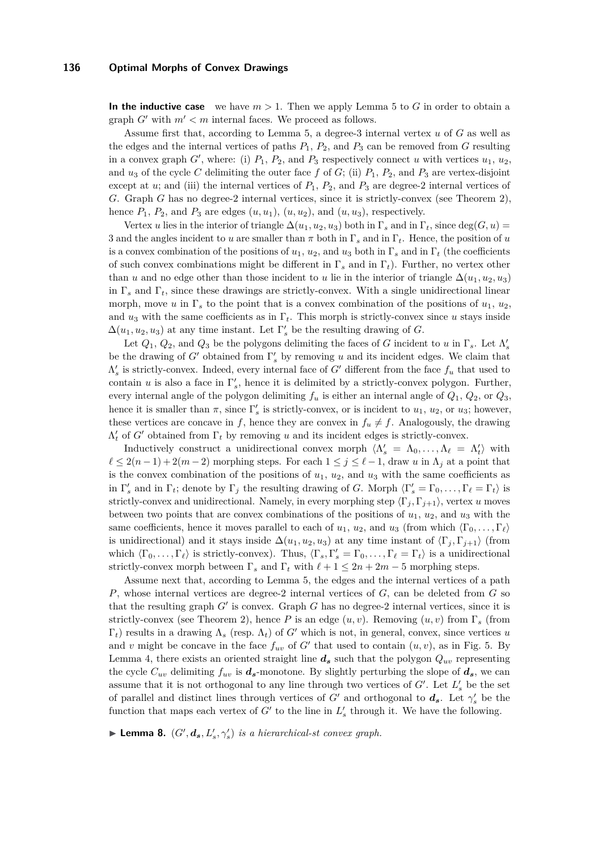**In the inductive case** we have  $m > 1$ . Then we apply Lemma [5](#page-4-0) to G in order to obtain a graph  $G'$  with  $m' < m$  internal faces. We proceed as follows.

Assume first that, according to Lemma [5,](#page-4-0) a degree-3 internal vertex *u* of *G* as well as the edges and the internal vertices of paths  $P_1$ ,  $P_2$ , and  $P_3$  can be removed from *G* resulting in a convex graph  $G'$ , where: (i)  $P_1$ ,  $P_2$ , and  $P_3$  respectively connect *u* with vertices  $u_1$ ,  $u_2$ , and  $u_3$  of the cycle *C* delimiting the outer face f of *G*; (ii)  $P_1$ ,  $P_2$ , and  $P_3$  are vertex-disjoint except at  $u$ ; and (iii) the internal vertices of  $P_1$ ,  $P_2$ , and  $P_3$  are degree-2 internal vertices of *G*. Graph *G* has no degree-2 internal vertices, since it is strictly-convex (see Theorem [2\)](#page-3-0), hence  $P_1$ ,  $P_2$ , and  $P_3$  are edges  $(u, u_1)$ ,  $(u, u_2)$ , and  $(u, u_3)$ , respectively.

Vertex *u* lies in the interior of triangle  $\Delta(u_1, u_2, u_3)$  both in  $\Gamma_s$  and in  $\Gamma_t$ , since deg(*G, u*) = 3 and the angles incident to *u* are smaller than  $\pi$  both in  $\Gamma_s$  and in  $\Gamma_t$ . Hence, the position of *u* is a convex combination of the positions of  $u_1, u_2$ , and  $u_3$  both in  $\Gamma_s$  and in  $\Gamma_t$  (the coefficients of such convex combinations might be different in Γ*<sup>s</sup>* and in Γ*t*). Further, no vertex other than *u* and no edge other than those incident to *u* lie in the interior of triangle  $\Delta(u_1, u_2, u_3)$ in  $\Gamma_s$  and  $\Gamma_t$ , since these drawings are strictly-convex. With a single unidirectional linear morph, move *u* in  $\Gamma_s$  to the point that is a convex combination of the positions of  $u_1, u_2$ , and  $u_3$  with the same coefficients as in  $\Gamma_t$ . This morph is strictly-convex since *u* stays inside  $\Delta(u_1, u_2, u_3)$  at any time instant. Let  $\Gamma'_s$  be the resulting drawing of *G*.

Let  $Q_1$ ,  $Q_2$ , and  $Q_3$  be the polygons delimiting the faces of *G* incident to *u* in  $\Gamma_s$ . Let  $\Lambda'_s$ be the drawing of  $G'$  obtained from  $\Gamma'_{s}$  by removing *u* and its incident edges. We claim that  $\Lambda'_{s}$  is strictly-convex. Indeed, every internal face of *G*<sup>*'*</sup> different from the face  $f_{u}$  that used to contain *u* is also a face in  $\Gamma_s'$ , hence it is delimited by a strictly-convex polygon. Further, every internal angle of the polygon delimiting  $f_u$  is either an internal angle of  $Q_1, Q_2,$  or  $Q_3$ , hence it is smaller than  $\pi$ , since  $\Gamma'_s$  is strictly-convex, or is incident to  $u_1, u_2$ , or  $u_3$ ; however, these vertices are concave in *f*, hence they are convex in  $f_u \neq f$ . Analogously, the drawing  $\Lambda'_t$  of *G*<sup>*t*</sup> obtained from  $\Gamma_t$  by removing *u* and its incident edges is strictly-convex.

Inductively construct a unidirectional convex morph  $\langle \Lambda'_s = \Lambda_0, \ldots, \Lambda_\ell = \Lambda'_t \rangle$  with  $\ell \leq 2(n-1) + 2(m-2)$  morphing steps. For each  $1 \leq j \leq \ell - 1$ , draw *u* in  $\Lambda_j$  at a point that is the convex combination of the positions of  $u_1, u_2$ , and  $u_3$  with the same coefficients as in  $\Gamma'_s$  and in  $\Gamma_t$ ; denote by  $\Gamma_j$  the resulting drawing of *G*. Morph  $\langle \Gamma'_s = \Gamma_0, \ldots, \Gamma_\ell = \Gamma_t \rangle$  is strictly-convex and unidirectional. Namely, in every morphing step  $\langle \Gamma_j, \Gamma_{j+1} \rangle$ , vertex *u* moves between two points that are convex combinations of the positions of  $u_1$ ,  $u_2$ , and  $u_3$  with the same coefficients, hence it moves parallel to each of  $u_1, u_2$ , and  $u_3$  (from which  $\langle \Gamma_0, \ldots, \Gamma_\ell \rangle$ ) is unidirectional) and it stays inside  $\Delta(u_1, u_2, u_3)$  at any time instant of  $\langle \Gamma_i, \Gamma_{i+1} \rangle$  (from which  $\langle \Gamma_0, \ldots, \Gamma_\ell \rangle$  is strictly-convex). Thus,  $\langle \Gamma_s, \Gamma'_s = \Gamma_0, \ldots, \Gamma_\ell = \Gamma_t \rangle$  is a unidirectional strictly-convex morph between  $\Gamma_s$  and  $\Gamma_t$  with  $\ell + 1 \leq 2n + 2m - 5$  morphing steps.

Assume next that, according to Lemma [5,](#page-4-0) the edges and the internal vertices of a path *P*, whose internal vertices are degree-2 internal vertices of *G*, can be deleted from *G* so that the resulting graph  $G'$  is convex. Graph  $G$  has no degree-2 internal vertices, since it is strictly-convex (see Theorem [2\)](#page-3-0), hence *P* is an edge  $(u, v)$ . Removing  $(u, v)$  from  $\Gamma<sub>s</sub>$  (from  $\Gamma_t$ ) results in a drawing  $\Lambda_s$  (resp.  $\Lambda_t$ ) of *G*<sup> $\prime$ </sup> which is not, in general, convex, since vertices *u* and *v* might be concave in the face  $f_{uv}$  of  $G'$  that used to contain  $(u, v)$ , as in Fig. [5.](#page-11-0) By Lemma [4,](#page-3-1) there exists an oriented straight line  $d_s$  such that the polygon  $Q_{uv}$  representing the cycle  $C_{uv}$  delimiting  $f_{uv}$  is  $d_s$ -monotone. By slightly perturbing the slope of  $d_s$ , we can assume that it is not orthogonal to any line through two vertices of  $G'$ . Let  $L'_{s}$  be the set of parallel and distinct lines through vertices of *G'* and orthogonal to  $d_s$ . Let  $\gamma'_s$  be the function that maps each vertex of  $G'$  to the line in  $L'_{s}$  through it. We have the following.

**Lemma 8.**  $(G', \mathbf{d}_s, L'_s, \gamma'_s)$  *is a hierarchical-st convex graph.*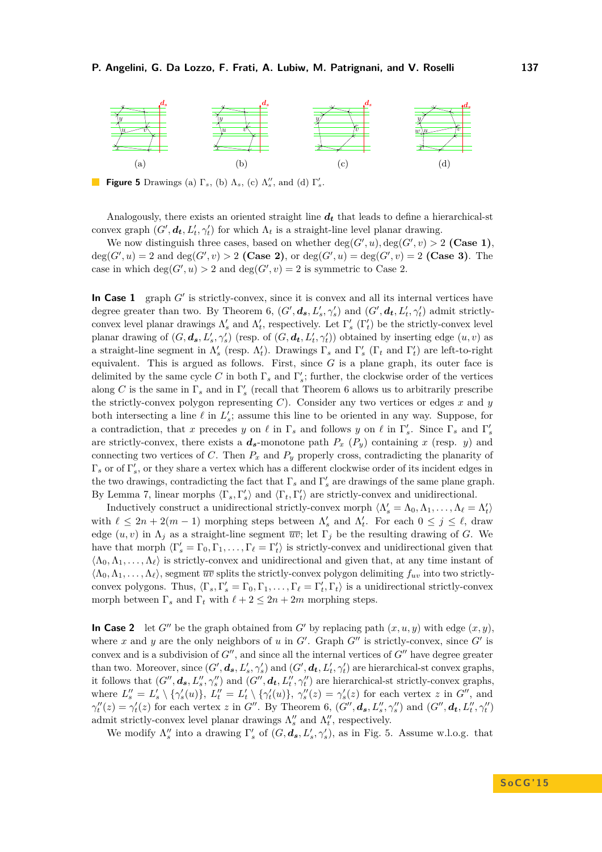<span id="page-11-0"></span>

**Figure 5** Drawings (a)  $\Gamma_s$ , (b)  $\Lambda_s$ , (c)  $\Lambda_s''$ , and (d)  $\Gamma_s'$ .

Analogously, there exists an oriented straight line  $d_t$  that leads to define a hierarchical-st convex graph  $(G', d_t, L'_t, \gamma'_t)$  for which  $\Lambda_t$  is a straight-line level planar drawing.

We now distinguish three cases, based on whether  $deg(G', u)$ ,  $deg(G', v) > 2$  (Case 1),  $deg(G', u) = 2$  and  $deg(G', v) > 2$  (Case 2), or  $deg(G', u) = deg(G', v) = 2$  (Case 3). The case in which  $deg(G', u) > 2$  and  $deg(G', v) = 2$  is symmetric to Case 2.

In Case  $1$  graph  $G'$  is strictly-convex, since it is convex and all its internal vertices have degree greater than two. By Theorem [6,](#page-7-0)  $(G', d_s, L'_s, \gamma'_s)$  and  $(G', d_t, L'_t, \gamma'_t)$  admit strictlyconvex level planar drawings  $\Lambda'_s$  and  $\Lambda'_t$ , respectively. Let  $\Gamma'_s$  ( $\Gamma'_t$ ) be the strictly-convex level planar drawing of  $(G, d_s, L'_s, \gamma'_s)$  (resp. of  $(G, d_t, L'_t, \gamma'_t)$ ) obtained by inserting edge  $(u, v)$  as a straight-line segment in  $\Lambda'_s$  (resp.  $\Lambda'_t$ ). Drawings  $\Gamma_s$  and  $\Gamma'_s$  ( $\Gamma_t$  and  $\Gamma'_t$ ) are left-to-right equivalent. This is argued as follows. First, since *G* is a plane graph, its outer face is delimited by the same cycle *C* in both  $\Gamma_s$  and  $\Gamma'_s$ ; further, the clockwise order of the vertices along *C* is the same in  $\Gamma_s$  and in  $\Gamma'_s$  (recall that Theorem [6](#page-7-0) allows us to arbitrarily prescribe the strictly-convex polygon representing *C*). Consider any two vertices or edges *x* and *y* both intersecting a line  $\ell$  in  $L'_{s}$ ; assume this line to be oriented in any way. Suppose, for a contradiction, that *x* precedes *y* on  $\ell$  in  $\Gamma_s$  and follows *y* on  $\ell$  in  $\Gamma'_s$ . Since  $\Gamma_s$  and  $\Gamma'_s$ are strictly-convex, there exists a  $d_s$ -monotone path  $P_x$  ( $P_y$ ) containing x (resp. y) and connecting two vertices of *C*. Then  $P_x$  and  $P_y$  properly cross, contradicting the planarity of  $\Gamma_s$  or of  $\Gamma'_s$ , or they share a vertex which has a different clockwise order of its incident edges in the two drawings, contradicting the fact that  $\Gamma_s$  and  $\Gamma'_s$  are drawings of the same plane graph. By Lemma [7,](#page-9-1) linear morphs  $\langle \Gamma_s, \Gamma'_s \rangle$  and  $\langle \Gamma_t, \Gamma'_t \rangle$  are strictly-convex and unidirectional.

Inductively construct a unidirectional strictly-convex morph  $\langle \Lambda'_s = \Lambda_0, \Lambda_1, \ldots, \Lambda_\ell = \Lambda'_t \rangle$ with  $\ell \leq 2n + 2(m - 1)$  morphing steps between  $\Lambda'_s$  and  $\Lambda'_t$ . For each  $0 \leq j \leq \ell$ , draw edge  $(u, v)$  in  $\Lambda_j$  as a straight-line segment  $\overline{uv}$ ; let  $\Gamma_j$  be the resulting drawing of *G*. We have that morph  $\langle \Gamma'_s = \Gamma_0, \Gamma_1, \ldots, \Gamma_\ell = \Gamma'_t \rangle$  is strictly-convex and unidirectional given that  $\langle\Lambda_0,\Lambda_1,\ldots,\Lambda_\ell\rangle$  is strictly-convex and unidirectional and given that, at any time instant of  $\langle \Lambda_0, \Lambda_1, \ldots, \Lambda_\ell \rangle$ , segment  $\overline{uv}$  splits the strictly-convex polygon delimiting  $f_{uv}$  into two strictlyconvex polygons. Thus,  $\langle \Gamma_s, \Gamma'_s = \Gamma_0, \Gamma_1, \ldots, \Gamma_\ell = \Gamma'_t, \Gamma_t \rangle$  is a unidirectional strictly-convex morph between  $\Gamma_s$  and  $\Gamma_t$  with  $\ell + 2 \leq 2n + 2m$  morphing steps.

**In Case 2** let *G*<sup> $\prime\prime$ </sup> be the graph obtained from *G*<sup> $\prime$ </sup> by replacing path  $(x, u, y)$  with edge  $(x, y)$ , where x and y are the only neighbors of u in  $G'$ . Graph  $G''$  is strictly-convex, since  $G'$  is convex and is a subdivision of  $G''$ , and since all the internal vertices of  $G''$  have degree greater than two. Moreover, since  $(G', d_s, L'_s, \gamma'_s)$  and  $(G', d_t, L'_t, \gamma'_t)$  are hierarchical-st convex graphs, it follows that  $(G'', d_s, L_s'', \gamma_s'')$  and  $(G'', d_t, L_t'', \gamma_t'')$  are hierarchical-st strictly-convex graphs, where  $L''_s = L'_s \setminus {\gamma'_s(u)}$ ,  $L''_t = L'_t \setminus {\gamma'_t(u)}$ ,  $\gamma''_s(z) = \gamma'_s(z)$  for each vertex z in  $G''$ , and  $\gamma''_t(z) = \gamma'_t(z)$  for each vertex z in G''. By Theorem [6,](#page-7-0)  $(G'', d_s, L''_s, \gamma''_s)$  and  $(G'', d_t, L''_t, \gamma''_t)$ admit strictly-convex level planar drawings  $\Lambda''_s$  and  $\Lambda''_t$ , respectively.

We modify  $\Lambda''_s$  into a drawing  $\Gamma'_s$  of  $(G, d_s, L'_s, \gamma'_s)$ , as in Fig. [5.](#page-11-0) Assume w.l.o.g. that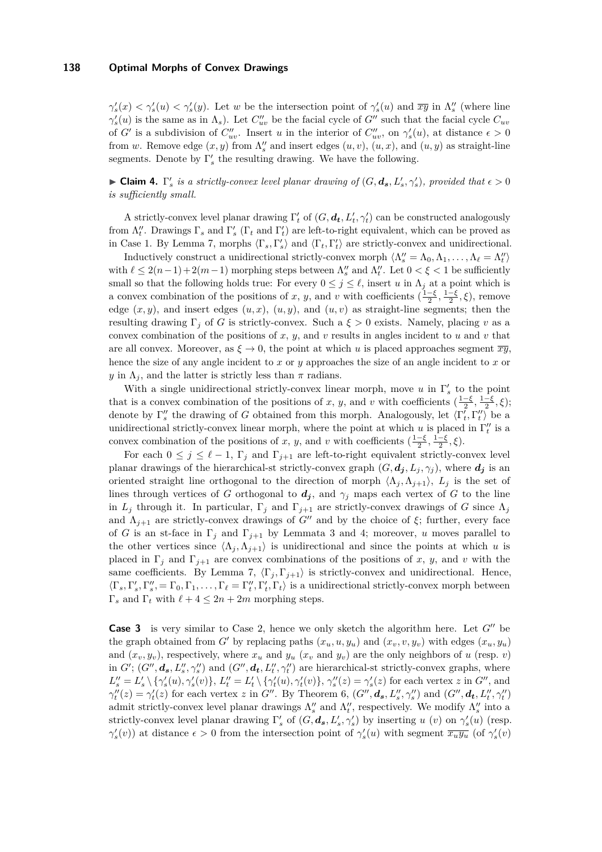$\gamma'_s(x) < \gamma'_s(y) < \gamma'_s(y)$ . Let *w* be the intersection point of  $\gamma'_s(y)$  and  $\overline{xy}$  in  $\Lambda''_s$  (where line  $\gamma'_s(u)$  is the same as in  $\Lambda_s$ ). Let  $C''_{uv}$  be the facial cycle of *G*<sup> $\prime\prime$ </sup> such that the facial cycle  $C_{uv}$ of *G*' is a subdivision of  $C''_{uv}$ . Insert *u* in the interior of  $C''_{uv}$ , on  $\gamma'_s(u)$ , at distance  $\epsilon > 0$ from *w*. Remove edge  $(x, y)$  from  $\Lambda_s''$  and insert edges  $(u, v)$ ,  $(u, x)$ , and  $(u, y)$  as straight-line segments. Denote by  $\Gamma'_s$  the resulting drawing. We have the following.

**Claim 4.**  $\Gamma'_s$  is a strictly-convex level planar drawing of  $(G, d_s, L'_s, \gamma'_s)$ , provided that  $\epsilon > 0$ *is sufficiently small.*

A strictly-convex level planar drawing  $\Gamma'$  of  $(G, d_t, L'_t, \gamma'_t)$  can be constructed analogously from  $\Lambda''_t$ . Drawings  $\Gamma_s$  and  $\Gamma'_s$  ( $\Gamma_t$  and  $\Gamma'_t$ ) are left-to-right equivalent, which can be proved as in Case 1. By Lemma [7,](#page-9-1) morphs  $\langle \Gamma_s, \Gamma'_s \rangle$  and  $\langle \Gamma_t, \Gamma'_t \rangle$  are strictly-convex and unidirectional.

Inductively construct a unidirectional strictly-convex morph  $\langle \Lambda''_s = \Lambda_0, \Lambda_1, \ldots, \Lambda_\ell = \Lambda''_t \rangle$ with  $\ell \leq 2(n-1) + 2(m-1)$  morphing steps between  $\Lambda''_s$  and  $\Lambda''_t$ . Let  $0 < \xi < 1$  be sufficiently small so that the following holds true: For every  $0 \leq j \leq \ell$ , insert *u* in  $\Lambda_j$  at a point which is a convex combination of the positions of *x*, *y*, and *v* with coefficients  $(\frac{1-\xi}{2}, \frac{1-\xi}{2}, \xi)$ , remove edge  $(x, y)$ , and insert edges  $(u, x)$ ,  $(u, y)$ , and  $(u, v)$  as straight-line segments; then the resulting drawing  $\Gamma_j$  of *G* is strictly-convex. Such a  $\xi > 0$  exists. Namely, placing *v* as a convex combination of the positions of  $x$ ,  $y$ , and  $v$  results in angles incident to  $u$  and  $v$  that are all convex. Moreover, as  $\xi \to 0$ , the point at which *u* is placed approaches segment  $\overline{xy}$ , hence the size of any angle incident to *x* or *y* approaches the size of an angle incident to *x* or *y* in  $\Lambda_j$ , and the latter is strictly less than  $\pi$  radians.

With a single unidirectional strictly-convex linear morph, move  $u$  in  $\Gamma'_{s}$  to the point that is a convex combination of the positions of *x*, *y*, and *v* with coefficients  $(\frac{1-\xi}{2}, \frac{1-\xi}{2}, \xi)$ ; denote by  $\Gamma''_s$  the drawing of *G* obtained from this morph. Analogously, let  $\langle \Gamma'_t, \Gamma''_t \rangle$  be a unidirectional strictly-convex linear morph, where the point at which *u* is placed in  $\Gamma''_t$  is a convex combination of the positions of *x*, *y*, and *v* with coefficients  $(\frac{1-\xi}{2}, \frac{1-\xi}{2}, \xi)$ .

For each  $0 \leq j \leq \ell - 1$ ,  $\Gamma_j$  and  $\Gamma_{j+1}$  are left-to-right equivalent strictly-convex level planar drawings of the hierarchical-st strictly-convex graph  $(G, d_j, L_j, \gamma_j)$ , where  $d_j$  is an oriented straight line orthogonal to the direction of morph  $\langle \Lambda_j, \Lambda_{j+1} \rangle$ ,  $L_j$  is the set of lines through vertices of *G* orthogonal to  $d_j$ , and  $\gamma_j$  maps each vertex of *G* to the line in  $L_j$  through it. In particular,  $\Gamma_j$  and  $\Gamma_{j+1}$  are strictly-convex drawings of *G* since  $\Lambda_j$ and  $\Lambda_{j+1}$  are strictly-convex drawings of *G*<sup>*n*</sup> and by the choice of  $\xi$ ; further, every face of *G* is an st-face in  $\Gamma_j$  and  $\Gamma_{j+1}$  by Lemmata [3](#page-3-2) and [4;](#page-3-1) moreover, *u* moves parallel to the other vertices since  $\langle \Lambda_j, \Lambda_{j+1} \rangle$  is unidirectional and since the points at which *u* is placed in  $\Gamma_i$  and  $\Gamma_{i+1}$  are convex combinations of the positions of x, y, and v with the same coefficients. By Lemma [7,](#page-9-1)  $\langle \Gamma_i, \Gamma_{i+1} \rangle$  is strictly-convex and unidirectional. Hence,  $\langle \Gamma_s, \Gamma'_s, \Gamma''_s, = \Gamma_0, \Gamma_1, \ldots, \Gamma_\ell = \Gamma''_t, \Gamma'_t, \Gamma_t \rangle$  is a unidirectional strictly-convex morph between Γ<sub>*s*</sub> and Γ<sub>*t*</sub> with  $ℓ + 4 ≤ 2n + 2m$  morphing steps.

**Case 3** is very similar to Case 2, hence we only sketch the algorithm here. Let  $G''$  be the graph obtained from *G'* by replacing paths  $(x_u, u, y_u)$  and  $(x_v, v, y_v)$  with edges  $(x_u, y_u)$ and  $(x_v, y_v)$ , respectively, where  $x_u$  and  $y_u$  ( $x_v$  and  $y_v$ ) are the only neighbors of *u* (resp. *v*) in  $G'$ ;  $(G'', d_s, L_s'', \gamma_s'')$  and  $(G'', d_t, L_t'', \gamma_t'')$  are hierarchical-st strictly-convex graphs, where  $L''_s = L'_s \setminus {\gamma'_s(u), \gamma'_s(v)}, L''_t = L'_t \setminus {\gamma'_t(u), \gamma'_t(v)}, \gamma''_s(z) = \gamma'_s(z)$  for each vertex z in  $G''$ , and  $\gamma''_t(z) = \gamma'_t(z)$  for each vertex z in G''. By Theorem [6,](#page-7-0)  $(G'', d_s, L''_s, \gamma''_s)$  and  $(G'', d_t, L''_t, \gamma''_t)$ admit strictly-convex level planar drawings  $\Lambda''_s$  and  $\Lambda''_t$ , respectively. We modify  $\Lambda''_s$  into a strictly-convex level planar drawing  $\Gamma'_s$  of  $(G, d_s, L'_s, \gamma'_s)$  by inserting *u* (*v*) on  $\gamma'_s(u)$  (resp. *γ*<sup>'</sup><sub>s</sub>(*v*)) at distance *ε* > 0 from the intersection point of  $γ'_{s}(u)$  with segment  $\overline{x_{u}y_{u}}$  (of  $γ'_{s}(v)$ )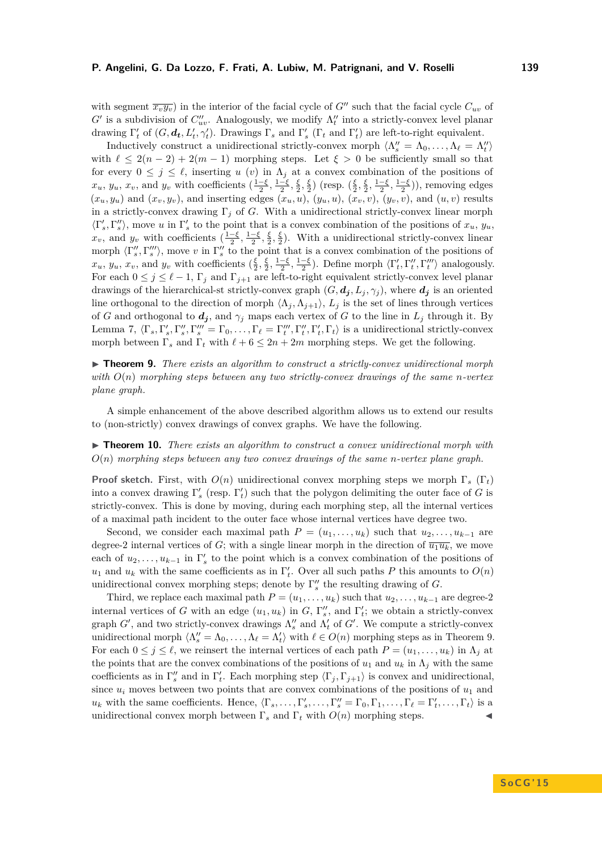with segment  $\overline{x_v y_v}$  in the interior of the facial cycle of *G*<sup>0</sup> such that the facial cycle  $C_{uv}$  of  $G'$  is a subdivision of  $C''_{uv}$ . Analogously, we modify  $\Lambda''_t$  into a strictly-convex level planar drawing  $\Gamma'_{t}$  of  $(G, d_{t}, L'_{t}, \gamma'_{t})$ . Drawings  $\Gamma_{s}$  and  $\Gamma'_{s}$  ( $\Gamma_{t}$  and  $\Gamma'_{t}$ ) are left-to-right equivalent.

Inductively construct a unidirectional strictly-convex morph  $\langle \Lambda''_s = \Lambda_0, \ldots, \Lambda_\ell = \Lambda''_t \rangle$ with  $\ell \leq 2(n-2) + 2(m-1)$  morphing steps. Let  $\xi > 0$  be sufficiently small so that for every  $0 \leq j \leq \ell$ , inserting *u* (*v*) in  $\Lambda_j$  at a convex combination of the positions of  $x_u, y_u, x_v$ , and  $y_v$  with coefficients  $\left(\frac{1-\xi}{2}, \frac{1-\xi}{2}, \frac{\xi}{2}, \frac{\xi}{2}\right)$  (resp.  $\left(\frac{\xi}{2}, \frac{\xi}{2}, \frac{1-\xi}{2}, \frac{1-\xi}{2}\right)$ ), removing edges  $(x_u, y_u)$  and  $(x_v, y_v)$ , and inserting edges  $(x_u, u)$ ,  $(y_u, u)$ ,  $(x_v, v)$ ,  $(y_v, v)$ , and  $(u, v)$  results in a strictly-convex drawing Γ*<sup>j</sup>* of *G*. With a unidirectional strictly-convex linear morph  $\langle \Gamma'_s, \Gamma''_s \rangle$ , move *u* in  $\Gamma'_s$  to the point that is a convex combination of the positions of  $x_u, y_u$ ,  $x_v$ , and  $y_v$  with coefficients  $(\frac{1-\xi}{2}, \frac{1-\xi}{2}, \frac{\xi}{2}, \frac{\xi}{2})$ . With a unidirectional strictly-convex linear morph  $\langle \Gamma''_s, \Gamma'''_s \rangle$ , move *v* in  $\Gamma''_s$  to the point that is a convex combination of the positions of  $x_u, y_u, x_v$ , and  $y_v$  with coefficients  $(\frac{\xi}{2}, \frac{\xi}{2}, \frac{1-\xi}{2}, \frac{1-\xi}{2})$ . Define morph  $\langle \Gamma'_t, \Gamma''_t, \Gamma'''_t \rangle$  analogously. For each  $0 \leq j \leq \ell - 1$ ,  $\Gamma_j$  and  $\Gamma_{j+1}$  are left-to-right equivalent strictly-convex level planar drawings of the hierarchical-st strictly-convex graph  $(G, d_j, L_j, \gamma_j)$ , where  $d_j$  is an oriented line orthogonal to the direction of morph  $\langle \Lambda_j, \Lambda_{j+1} \rangle$ ,  $L_j$  is the set of lines through vertices of *G* and orthogonal to  $d_j$ , and  $\gamma_j$  maps each vertex of *G* to the line in  $L_j$  through it. By Lemma [7,](#page-9-1)  $\langle \Gamma_s, \Gamma'_s, \Gamma''_s, \Gamma'''_s = \Gamma_0, \ldots, \Gamma_\ell = \Gamma'''_t, \Gamma''_t, \Gamma'_t, \Gamma_t$  is a unidirectional strictly-convex morph between  $\Gamma_s$  and  $\Gamma_t$  with  $\ell + 6 \leq 2n + 2m$  morphing steps. We get the following.

<span id="page-13-0"></span>▶ **Theorem 9.** *There exists an algorithm to construct a strictly-convex unidirectional morph with O*(*n*) *morphing steps between any two strictly-convex drawings of the same n-vertex plane graph.*

A simple enhancement of the above described algorithm allows us to extend our results to (non-strictly) convex drawings of convex graphs. We have the following.

## ► **Theorem 10.** *There exists an algorithm to construct a convex unidirectional morph with O*(*n*) *morphing steps between any two convex drawings of the same n-vertex plane graph.*

**Proof sketch.** First, with *O*(*n*) unidirectional convex morphing steps we morph Γ*<sup>s</sup>* (Γ*t*) into a convex drawing  $\Gamma'_{s}$  (resp.  $\Gamma'_{t}$ ) such that the polygon delimiting the outer face of *G* is strictly-convex. This is done by moving, during each morphing step, all the internal vertices of a maximal path incident to the outer face whose internal vertices have degree two.

Second, we consider each maximal path  $P = (u_1, \ldots, u_k)$  such that  $u_2, \ldots, u_{k-1}$  are degree-2 internal vertices of *G*; with a single linear morph in the direction of  $\overline{u_1u_k}$ , we move each of  $u_2, \ldots, u_{k-1}$  in  $\Gamma'_s$  to the point which is a convex combination of the positions of *u*<sub>1</sub> and *u*<sub>*k*</sub> with the same coefficients as in  $\Gamma'$ <sub>*t*</sub>. Over all such paths *P* this amounts to  $O(n)$ unidirectional convex morphing steps; denote by  $\Gamma''_s$  the resulting drawing of *G*.

Third, we replace each maximal path  $P = (u_1, \ldots, u_k)$  such that  $u_2, \ldots, u_{k-1}$  are degree-2 internal vertices of *G* with an edge  $(u_1, u_k)$  in *G*,  $\Gamma''_s$ , and  $\Gamma'_t$ ; we obtain a strictly-convex graph  $G'$ , and two strictly-convex drawings  $\Lambda''_s$  and  $\Lambda'_t$  of  $G'$ . We compute a strictly-convex unidirectional morph  $\langle \Lambda''_s = \Lambda_0, \ldots, \Lambda_\ell = \Lambda'_t \rangle$  with  $\ell \in O(n)$  morphing steps as in Theorem [9.](#page-13-0) For each  $0 \leq j \leq \ell$ , we reinsert the internal vertices of each path  $P = (u_1, \ldots, u_k)$  in  $\Lambda_j$  at the points that are the convex combinations of the positions of  $u_1$  and  $u_k$  in  $\Lambda_j$  with the same coefficients as in  $\Gamma''_s$  and in  $\Gamma'_t$ . Each morphing step  $\langle \Gamma_j, \Gamma_{j+1} \rangle$  is convex and unidirectional, since  $u_i$  moves between two points that are convex combinations of the positions of  $u_1$  and  $u_k$  with the same coefficients. Hence,  $\langle \Gamma_s, \ldots, \Gamma'_s, \ldots, \Gamma'_s = \Gamma_0, \Gamma_1, \ldots, \Gamma_\ell = \Gamma'_t, \ldots, \Gamma_t \rangle$  is a unidirectional convex morph between  $\Gamma_s$  and  $\Gamma_t$  with  $O(n)$  morphing steps.